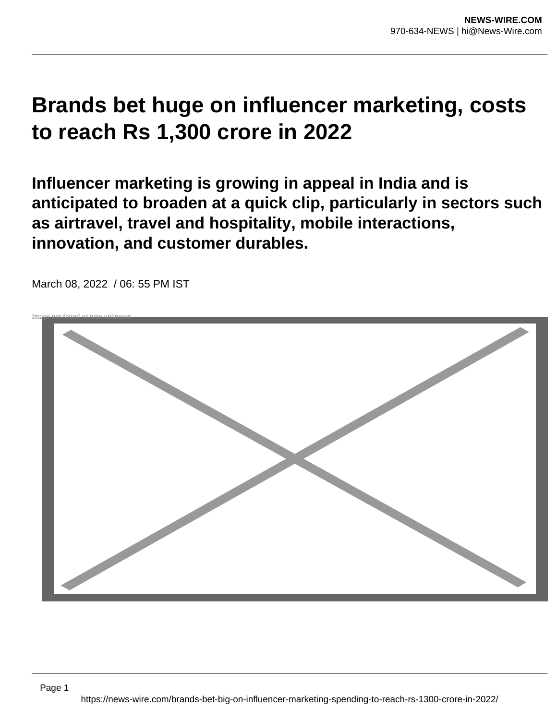## **Brands bet huge on influencer marketing, costs to reach Rs 1,300 crore in 2022**

**Influencer marketing is growing in appeal in India and is anticipated to broaden at a quick clip, particularly in sectors such as airtravel, travel and hospitality, mobile interactions, innovation, and customer durables.**



March 08, 2022 / 06: 55 PM IST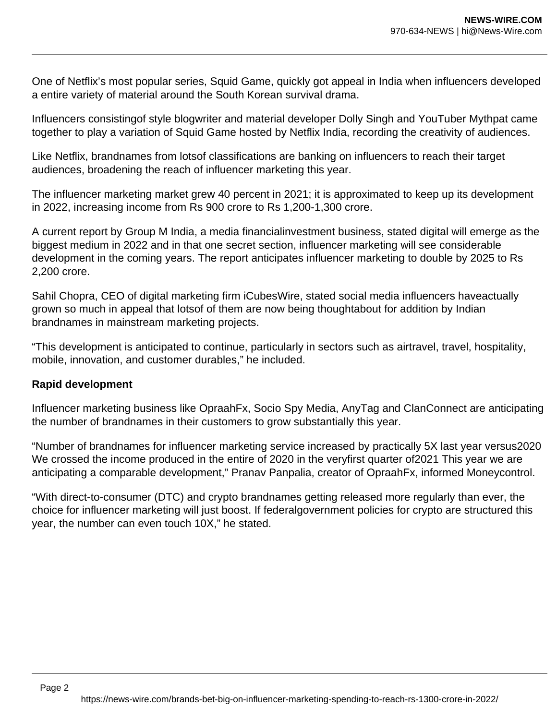One of Netflix's most popular series, Squid Game, quickly got appeal in India when influencers developed a entire variety of material around the South Korean survival drama.

Influencers consistingof style blogwriter and material developer Dolly Singh and YouTuber Mythpat came together to play a variation of Squid Game hosted by Netflix India, recording the creativity of audiences.

Like Netflix, brandnames from lotsof classifications are banking on influencers to reach their target audiences, broadening the reach of influencer marketing this year.

The influencer marketing market grew 40 percent in 2021; it is approximated to keep up its development in 2022, increasing income from Rs 900 crore to Rs 1,200-1,300 crore.

A current report by Group M India, a media financialinvestment business, stated digital will emerge as the biggest medium in 2022 and in that one secret section, influencer marketing will see considerable development in the coming years. The report anticipates influencer marketing to double by 2025 to Rs 2,200 crore.

Sahil Chopra, CEO of digital marketing firm iCubesWire, stated social media influencers haveactually grown so much in appeal that lotsof of them are now being thoughtabout for addition by Indian brandnames in mainstream marketing projects.

"This development is anticipated to continue, particularly in sectors such as airtravel, travel, hospitality, mobile, innovation, and customer durables," he included.

## **Rapid development**

Influencer marketing business like OpraahFx, Socio Spy Media, AnyTag and ClanConnect are anticipating the number of brandnames in their customers to grow substantially this year.

"Number of brandnames for influencer marketing service increased by practically 5X last year versus2020 We crossed the income produced in the entire of 2020 in the veryfirst quarter of2021 This year we are anticipating a comparable development," Pranav Panpalia, creator of OpraahFx, informed Moneycontrol.

"With direct-to-consumer (DTC) and crypto brandnames getting released more regularly than ever, the choice for influencer marketing will just boost. If federalgovernment policies for crypto are structured this year, the number can even touch 10X," he stated.